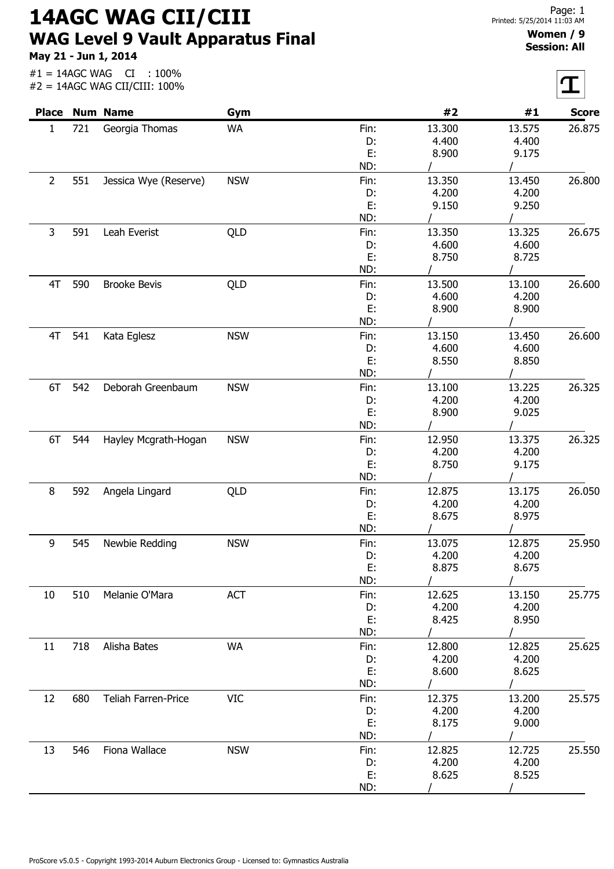14AGC WAG CII/CIII WAG Level 9 Vault Apparatus Final

May 21 - Jun 1, 2014

#1 = 14AGC WAG CI : 100%

|                |     | $#2 = 14AGC WAG CII/CIII: 100\%$ |            |      |        |        |              |
|----------------|-----|----------------------------------|------------|------|--------|--------|--------------|
| <b>Place</b>   |     | <b>Num Name</b>                  | Gym        |      | #2     | #1     | <b>Score</b> |
| 1              | 721 | Georgia Thomas                   | <b>WA</b>  | Fin: | 13.300 | 13.575 | 26.875       |
|                |     |                                  |            | D:   | 4.400  | 4.400  |              |
|                |     |                                  |            | E:   | 8.900  | 9.175  |              |
|                |     |                                  |            | ND:  |        |        |              |
| $\overline{2}$ | 551 | Jessica Wye (Reserve)            | <b>NSW</b> | Fin: | 13.350 | 13.450 | 26.800       |
|                |     |                                  |            | D:   | 4.200  | 4.200  |              |
|                |     |                                  |            | E:   | 9.150  | 9.250  |              |
|                |     |                                  |            | ND:  |        |        |              |
| 3              | 591 | Leah Everist                     | QLD        | Fin: | 13.350 | 13.325 | 26.675       |
|                |     |                                  |            | D:   | 4.600  | 4.600  |              |
|                |     |                                  |            | E:   | 8.750  | 8.725  |              |
|                |     |                                  |            | ND:  |        |        |              |
| 4T             | 590 | <b>Brooke Bevis</b>              | QLD        | Fin: | 13.500 | 13.100 | 26.600       |
|                |     |                                  |            | D:   | 4.600  | 4.200  |              |
|                |     |                                  |            | E:   | 8.900  | 8.900  |              |
|                |     |                                  |            | ND:  |        |        |              |
| 4T             | 541 | Kata Eglesz                      | <b>NSW</b> | Fin: | 13.150 | 13.450 | 26.600       |
|                |     |                                  |            | D:   | 4.600  | 4.600  |              |
|                |     |                                  |            | E:   | 8.550  | 8.850  |              |
|                |     |                                  |            | ND:  |        |        |              |
| 6T             | 542 | Deborah Greenbaum                | <b>NSW</b> | Fin: | 13.100 | 13.225 | 26.325       |
|                |     |                                  |            | D:   | 4.200  | 4.200  |              |
|                |     |                                  |            | E:   | 8.900  | 9.025  |              |
|                |     |                                  |            | ND:  |        |        |              |
| 6T             | 544 | Hayley Mcgrath-Hogan             | <b>NSW</b> | Fin: | 12.950 | 13.375 | 26.325       |
|                |     |                                  |            | D:   | 4.200  | 4.200  |              |
|                |     |                                  |            | E:   | 8.750  | 9.175  |              |
|                |     |                                  |            | ND:  |        |        |              |
| 8              | 592 |                                  |            | Fin: | 12.875 | 13.175 | 26.050       |
|                |     | Angela Lingard                   | QLD        | D:   | 4.200  | 4.200  |              |
|                |     |                                  |            | E:   | 8.675  | 8.975  |              |
|                |     |                                  |            | ND:  |        |        |              |
|                |     |                                  |            |      |        |        |              |
| 9              | 545 | Newbie Redding                   | <b>NSW</b> | Fin: | 13.075 | 12.875 | 25,950       |
|                |     |                                  |            | D:   | 4.200  | 4.200  |              |
|                |     |                                  |            | E:   | 8.875  | 8.675  |              |
|                |     |                                  |            | ND:  |        |        |              |
| 10             | 510 | Melanie O'Mara                   | ACT        | Fin: | 12.625 | 13.150 | 25.775       |
|                |     |                                  |            | D:   | 4.200  | 4.200  |              |
|                |     |                                  |            | E:   | 8.425  | 8.950  |              |
|                |     |                                  |            | ND:  |        |        |              |
| 11             | 718 | Alisha Bates                     | <b>WA</b>  | Fin: | 12.800 | 12.825 | 25.625       |
|                |     |                                  |            | D:   | 4.200  | 4.200  |              |
|                |     |                                  |            | E:   | 8.600  | 8.625  |              |
|                |     |                                  |            | ND:  |        |        |              |
| 12             | 680 | Teliah Farren-Price              | <b>VIC</b> | Fin: | 12.375 | 13.200 | 25.575       |
|                |     |                                  |            | D:   | 4.200  | 4.200  |              |
|                |     |                                  |            | E:   | 8.175  | 9.000  |              |
|                |     |                                  |            | ND:  |        |        |              |
| 13             | 546 | Fiona Wallace                    | <b>NSW</b> | Fin: | 12.825 | 12.725 | 25.550       |
|                |     |                                  |            | D:   | 4.200  | 4.200  |              |
|                |     |                                  |            | E:   | 8.625  | 8.525  |              |
|                |     |                                  |            | ND:  |        |        |              |

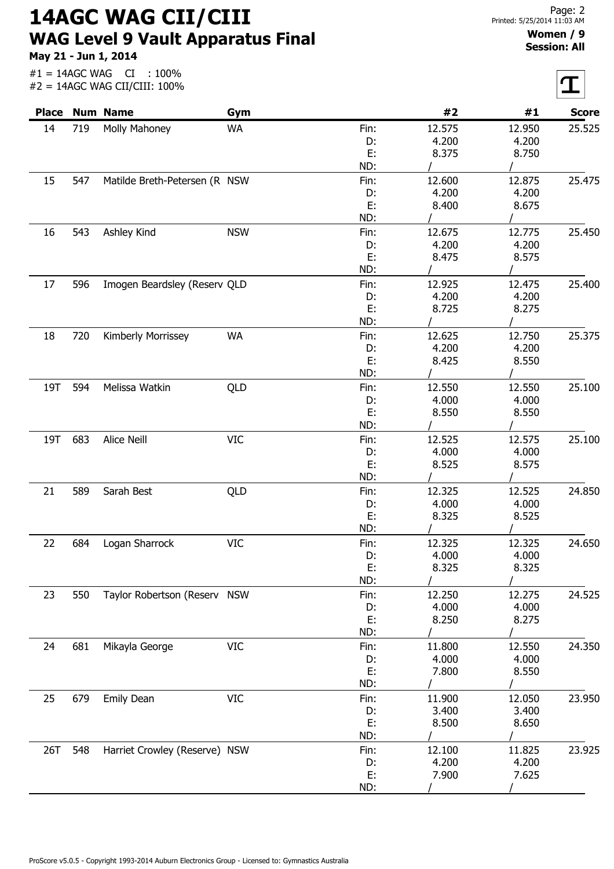14AGC WAG CII/CIII WAG Level 9 Vault Apparatus Final

May 21 - Jun 1, 2014

## Women / 9 Session: All

| <b>Place</b> |     | <b>Num Name</b>               | Gym        |      | #2     | #1            | <b>Score</b> |
|--------------|-----|-------------------------------|------------|------|--------|---------------|--------------|
| 14           | 719 | Molly Mahoney                 | <b>WA</b>  | Fin: | 12.575 | 12.950        | 25.525       |
|              |     |                               |            | D:   | 4.200  | 4.200         |              |
|              |     |                               |            | E:   | 8.375  | 8.750         |              |
|              |     |                               |            | ND:  |        |               |              |
| 15           | 547 | Matilde Breth-Petersen (R NSW |            | Fin: | 12.600 | 12.875        | 25.475       |
|              |     |                               |            | D:   | 4.200  | 4.200         |              |
|              |     |                               |            | E:   | 8.400  | 8.675         |              |
|              |     |                               |            | ND:  |        |               |              |
| 16           | 543 | Ashley Kind                   | <b>NSW</b> | Fin: | 12.675 | 12.775        | 25.450       |
|              |     |                               |            | D:   | 4.200  | 4.200         |              |
|              |     |                               |            | E:   | 8.475  | 8.575         |              |
|              |     |                               |            | ND:  |        |               |              |
| 17           | 596 | Imogen Beardsley (Reserv QLD  |            | Fin: | 12.925 | 12.475        | 25.400       |
|              |     |                               |            | D:   | 4.200  | 4.200         |              |
|              |     |                               |            | E:   | 8.725  | 8.275         |              |
|              |     |                               |            | ND:  |        |               |              |
| 18           | 720 | Kimberly Morrissey            | WA         | Fin: | 12.625 | 12.750        | 25.375       |
|              |     |                               |            | D:   | 4.200  | 4.200         |              |
|              |     |                               |            | E:   | 8.425  | 8.550         |              |
|              |     |                               |            | ND:  |        |               |              |
| 19T          | 594 | Melissa Watkin                | QLD        | Fin: | 12.550 | 12.550        | 25.100       |
|              |     |                               |            | D:   | 4.000  | 4.000         |              |
|              |     |                               |            | Ε.   | 8.550  | 8.550         |              |
|              |     |                               |            | ND:  |        |               |              |
| 19T          | 683 | Alice Neill                   | <b>VIC</b> | Fin: | 12.525 | 12.575        | 25.100       |
|              |     |                               |            | D:   | 4.000  | 4.000         |              |
|              |     |                               |            | Ε.   | 8.525  | 8.575         |              |
|              |     |                               |            | ND:  |        |               |              |
| 21           | 589 | Sarah Best                    | QLD        | Fin: | 12.325 | 12.525        | 24.850       |
|              |     |                               |            | D:   | 4.000  | 4.000         |              |
|              |     |                               |            | Ε.   | 8.325  | 8.525         |              |
|              |     |                               |            | ND:  |        | $\mathcal{L}$ |              |
| 22           | 684 | Logan Sharrock                | <b>VIC</b> | Fin: | 12.325 | 12.325        | 24.650       |
|              |     |                               |            | D:   | 4.000  | 4.000         |              |
|              |     |                               |            | Ε.   | 8.325  | 8.325         |              |
|              |     |                               |            | ND:  |        |               |              |
| 23           | 550 | Taylor Robertson (Reserv NSW  |            | Fin: | 12.250 | 12.275        | 24.525       |
|              |     |                               |            | D:   | 4.000  | 4.000         |              |
|              |     |                               |            | E:   | 8.250  | 8.275         |              |
|              |     |                               |            | ND:  |        |               |              |
| 24           | 681 | Mikayla George                | <b>VIC</b> | Fin: | 11.800 | 12.550        | 24.350       |
|              |     |                               |            | D:   | 4.000  | 4.000         |              |
|              |     |                               |            | E:   | 7.800  | 8.550         |              |
|              |     |                               |            | ND:  |        |               |              |
| 25           | 679 | Emily Dean                    | <b>VIC</b> | Fin: | 11.900 | 12.050        | 23.950       |
|              |     |                               |            | D:   | 3.400  | 3.400         |              |
|              |     |                               |            | E:   | 8.500  | 8.650         |              |
|              |     |                               |            | ND:  |        |               |              |
| 26T          | 548 | Harriet Crowley (Reserve) NSW |            | Fin: | 12.100 | 11.825        | 23.925       |
|              |     |                               |            | D:   | 4.200  | 4.200         |              |
|              |     |                               |            | E:   | 7.900  | 7.625         |              |
|              |     |                               |            | ND:  |        |               |              |